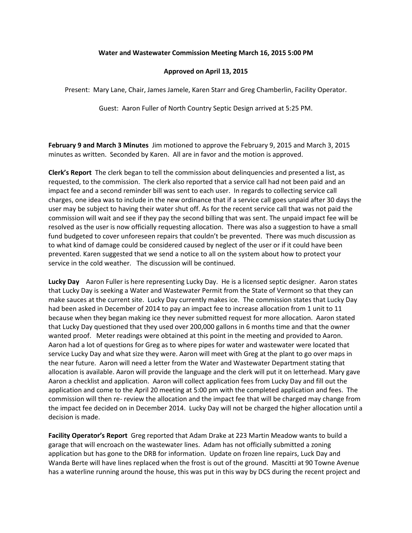## **Water and Wastewater Commission Meeting March 16, 2015 5:00 PM**

## **Approved on April 13, 2015**

Present: Mary Lane, Chair, James Jamele, Karen Starr and Greg Chamberlin, Facility Operator.

Guest: Aaron Fuller of North Country Septic Design arrived at 5:25 PM.

**February 9 and March 3 Minutes** Jim motioned to approve the February 9, 2015 and March 3, 2015 minutes as written. Seconded by Karen. All are in favor and the motion is approved.

**Clerk's Report** The clerk began to tell the commission about delinquencies and presented a list, as requested, to the commission. The clerk also reported that a service call had not been paid and an impact fee and a second reminder bill was sent to each user. In regards to collecting service call charges, one idea was to include in the new ordinance that if a service call goes unpaid after 30 days the user may be subject to having their water shut off. As for the recent service call that was not paid the commission will wait and see if they pay the second billing that was sent. The unpaid impact fee will be resolved as the user is now officially requesting allocation. There was also a suggestion to have a small fund budgeted to cover unforeseen repairs that couldn't be prevented. There was much discussion as to what kind of damage could be considered caused by neglect of the user or if it could have been prevented. Karen suggested that we send a notice to all on the system about how to protect your service in the cold weather. The discussion will be continued.

**Lucky Day** Aaron Fuller is here representing Lucky Day. He is a licensed septic designer. Aaron states that Lucky Day is seeking a Water and Wastewater Permit from the State of Vermont so that they can make sauces at the current site. Lucky Day currently makes ice. The commission states that Lucky Day had been asked in December of 2014 to pay an impact fee to increase allocation from 1 unit to 11 because when they began making ice they never submitted request for more allocation. Aaron stated that Lucky Day questioned that they used over 200,000 gallons in 6 months time and that the owner wanted proof. Meter readings were obtained at this point in the meeting and provided to Aaron. Aaron had a lot of questions for Greg as to where pipes for water and wastewater were located that service Lucky Day and what size they were. Aaron will meet with Greg at the plant to go over maps in the near future. Aaron will need a letter from the Water and Wastewater Department stating that allocation is available. Aaron will provide the language and the clerk will put it on letterhead. Mary gave Aaron a checklist and application. Aaron will collect application fees from Lucky Day and fill out the application and come to the April 20 meeting at 5:00 pm with the completed application and fees. The commission will then re- review the allocation and the impact fee that will be charged may change from the impact fee decided on in December 2014. Lucky Day will not be charged the higher allocation until a decision is made.

**Facility Operator's Report** Greg reported that Adam Drake at 223 Martin Meadow wants to build a garage that will encroach on the wastewater lines. Adam has not officially submitted a zoning application but has gone to the DRB for information. Update on frozen line repairs, Luck Day and Wanda Berte will have lines replaced when the frost is out of the ground. Mascitti at 90 Towne Avenue has a waterline running around the house, this was put in this way by DCS during the recent project and